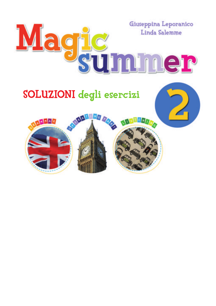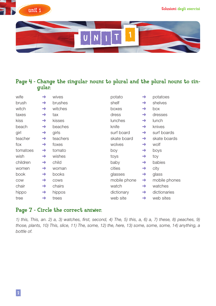



### Page 4 - Change the singular nouns to plural and the plural nouns to singular.

| wife     | →             | wives    | potato       | →             | potatoes      |
|----------|---------------|----------|--------------|---------------|---------------|
| brush    | $\rightarrow$ | brushes  | shelf        | $\rightarrow$ | shelves       |
| witch    | $\rightarrow$ | witches  | boxes        | $\rightarrow$ | box           |
| taxes    | $\rightarrow$ | tax      | dress        | $\rightarrow$ | dresses       |
| kiss     | $\rightarrow$ | kisses   | lunches      | $\rightarrow$ | lunch         |
| beach    | $\rightarrow$ | beaches  | knife        | $\rightarrow$ | knives        |
| girl     | $\rightarrow$ | girls    | surf board   | $\rightarrow$ | surf boards   |
| teacher  | $\rightarrow$ | teachers | skate board  | $\rightarrow$ | skate boards  |
| fox      | $\rightarrow$ | foxes    | wolves       | $\rightarrow$ | wolf          |
| tomatoes | $\rightarrow$ | tomato   | boy          | $\rightarrow$ | boys          |
| wish     | $\rightarrow$ | wishes   | toys         | $\rightarrow$ | toy           |
| children | $\rightarrow$ | child    | baby         | $\rightarrow$ | babies        |
| women    | $\rightarrow$ | woman    | cities       | $\rightarrow$ | city          |
| book     | $\rightarrow$ | books    | glasses      | $\rightarrow$ | glass         |
| COW      | $\rightarrow$ | COWS     | mobile phone | $\rightarrow$ | mobile phones |
| chair    | $\rightarrow$ | chairs   | watch        | $\rightarrow$ | watches       |
| hippo    | $\rightarrow$ | hippos   | dictionary   | $\rightarrow$ | dictionaries  |
| tree     | →             | trees    | web site     | $\rightarrow$ | web sites     |

#### Page 7 - Circle the correct answer.

*1) this, This, an. 2) a, 3) watches, first, second, 4) The, 5) this, a, 6) a, 7) these, 8) peaches, 9) those, plants, 10) This, slice, 11) The, some, 12) the, here, 13) some, some, some, 14) anything, a bottle of.*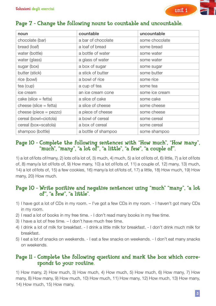

### Page 7 - Change the following nouns to countable and uncountable.

| noun                          | countable           | uncountable    |
|-------------------------------|---------------------|----------------|
| chocolate (bar)               | a bar of chocolate  | some chocolate |
| bread (loaf)                  | a loaf of bread     | some bread     |
| water (bottle)                | a bottle of water   | some water     |
| water (glass)                 | a glass of water    | some water     |
| sugar (box)                   | a box of sugar      | some sugar     |
| butter (stick)                | a stick of butter   | some butter    |
| rice (bowl)                   | a bowl of rice      | some rice      |
| tea (cup)                     | a cup of tea        | some tea       |
| ice cream                     | an ice cream cone   | some ice cream |
| $\text{cake}$ (slice = fetta) | a slice of cake     | some cake      |
| cheese (slice $=$ fetta)      | a slice of cheese   | some cheese    |
| cheese (piece = $pezzo$ )     | a piece of cheese   | some cheese    |
| cereal (bowl=ciotola)         | a bowl of cereal    | some cereal    |
| cereal (box=scatola)          | a box of cereal     | some cereal    |
| shampoo (bottle)              | a bottle of shampoo | some shampoo   |

#### Page 10 - Complete the following sentences with "How much", "How many", "much", "many", "a lot of", "a little", "a few", "a couple of".

1) a lot of/lots of/many, 2) lots of/a lot of, 3) much, 4) much, 5) a lot of/lots of, 6) little, 7) a lot of/lots of, 8) many/a lot of/lots of, 9) How many, 10) a lot of/lots of, 11) a couple of, 12) many, 13) much, 14) a lot of/lots of, 15) a few cookies, 16) many/a lot of/lots of, 17) a little, 18) How much, 19) How many, 20) How much.

#### Page 10 - Write positive and negative sentences using "much" "many", "a lot of", "a few", "a little".

- 1) I have got a lot of CDs in my room. I've got a few CDs in my room. I haven't got many CDs in my room.
- 2) I read a lot of books in my free time. I don't read many books in my free time.
- 3) I have a lot of free time. I don't have much free time.
- 4) I drink a lot of milk for breakfast. I drink a little milk for breakfast. I don't drink much milk for breakfast.
- 5) I eat a lot of snacks on weekends. I eat a few snacks on weekends. I don't eat many snacks on weekends.

#### Page 11 - Complete the following questions and mark the box which corresponds to your routine.

1) How many, 2) How much, 3) How much, 4) How much, 5) How much, 6) How many, 7) How many, 8) How many, 9) How much, 10) How much, 11) How many, 12) How much, 13) How many, 14) How much, 15) How many.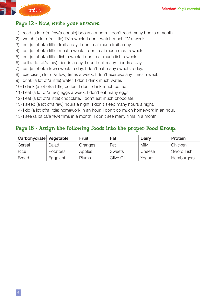

#### Page 12 - Now, write your answers.

- 1) I read (a lot of/a few/a couple) books a month. I don't read many books a month.
- 2) I watch (a lot of/a little) TV a week. I don't watch much TV a week.
- 3) I eat (a lot of/a little) fruit a day. I don't eat much fruit a day.
- 4) I eat (a lot of/a little) meat a week. I don't eat much meat a week.
- 5) I eat (a lot of/a little) fish a week. I don't eat much fish a week.
- 6) I call (a lot of/a few) friends a day. I don't call many friends a day.
- 7) I eat (a lot of/a few) sweets a day. I don't eat many sweets a day.
- 8) I exercise (a lot of/a few) times a week. I don't exercise any times a week.
- 9) I drink (a lot of/a little) water. I don't drink much water.
- 10) I drink (a lot of/a little) coffee. I don't drink much coffee.
- 11) I eat (a lot of/a few) eggs a week. I don't eat many eggs.
- 12) I eat (a lot of/a little) chocolate. I don't eat much chocolate.
- 13) I sleep (a lot of/a few) hours a night. I don't sleep many hours a night.
- 14) I do (a lot of/a little) homework in an hour. I don't do much homework in an hour.
- 15) I see (a lot of/a few) films in a month. I don't see many films in a month.

#### Page 16 - Assign the following foods into the proper Food Group.

| Carbohydrate Vegetable |          | Fruit   | Fat           | Dairy  | Protein    |
|------------------------|----------|---------|---------------|--------|------------|
| Cereal                 | Salad    | Oranges | Fat           | Milk   | Chicken    |
| Rice                   | Potatoes | Apples  | <b>Sweets</b> | Cheese | Sword Fish |
| <b>Bread</b>           | Eggplant | Plums   | Olive Oil     | Yogurt | Hamburgers |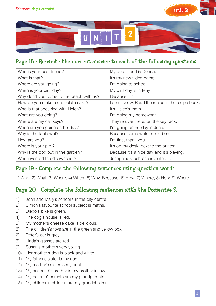



### Page 18 - Re-write the correct answer to each of the following questions.

| Who is your best friend?                 | My best friend is Donna.                          |
|------------------------------------------|---------------------------------------------------|
| What is that?                            | It's my new video game.                           |
| Where are you going?                     | I'm going to school.                              |
| When is your birthday?                   | My birthday is in May.                            |
| Why don't you come to the beach with us? | Because I'm ill.                                  |
| How do you make a chocolate cake?        | I don't know. Read the recipe in the recipe book. |
| Who is that speaking with Helen?         | It's Helen's mom.                                 |
| What are you doing?                      | I'm doing my homework.                            |
| Where are my car keys?                   | They're over there, on the key rack.              |
| When are you going on holiday?           | I'm going on holiday in June.                     |
| Why is the table wet?                    | Because some water spilled on it.                 |
| How are you?                             | I'm fine, thank you.                              |
| Where is your p.c.?                      | It's on my desk, next to the printer.             |
| Why is the dog out in the garden?        | Because it's a nice day and it's playing.         |
| Who invented the dishwasher?             | Josephine Cochrane invented it.                   |
|                                          |                                                   |

### Page 19 - Complete the following sentences using question words.

1) Who, 2) What, 3) Where, 4) When, 5) Why, Because, 6) How, 7) Where, 8) How, 9) Where.

### Page 20 - Complete the following sentences with the Possessive S.

- 1) John and Mary's school's in the city centre.
- 2) Simon's favourite school subject is maths.
- 3) Diego's bike is green.
- 4) The dog's house is red.
- 5) My mother's cheese cake is delicious.
- 6) The children's toys are in the green and yellow box.
- 7) Peter's car is grey.
- 8) Linda's glasses are red.
- 9) Susan's mother's very young.
- 10) Her mother's dog is black and white.
- 11) My father's sister is my aunt.
- 12) My mother's sister is my aunt.
- 13) My husband's brother is my brother in law.
- 14) My parents' parents are my grandparents.
- 15) My children's children are my grandchildren.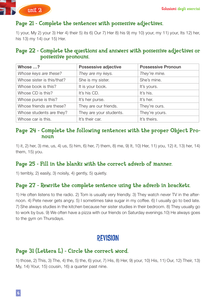

### Page 21 - Complete the sentences with possessive adjectives.

1) your, My 2) your 3) Her 4) their 5) its 6) Our 7) Her 8) his 9) my 10) your, my 11) your, Its 12) her, his 13) my 14) our 15) Her.

#### Page 22 - Complete the questions and answers with possessive adjectives or possessive pronouns.

| Whose ?                    | Possessive adjective    | <b>Possessive Pronoun</b> |
|----------------------------|-------------------------|---------------------------|
| Whose keys are these?      | They are my keys.       | They're mine.             |
| Whose sister is this/that? | She is my sister.       | She's mine.               |
| Whose book is this?        | It is your book.        | It's yours.               |
| Whose CD is this?          | It's his CD.            | It's his.                 |
| Whose purse is this?       | It's her purse.         | It's her.                 |
| Whose friends are these?   | They are our friends.   | They're ours.             |
| Whose students are they?   | They are your students. | They're yours.            |
| Whose car is this.         | It's their car.         | It's theirs.              |

#### Page 24 - Complete the following sentences with the proper Object Pronoun

1) it, 2) her, 3) me, us, 4) us, 5) him, 6) her, 7) them, 8) me, 9) It, 10) Her, 11) you, 12) it, 13) her, 14) them, 15) you.

### Page 25 - Fill in the blanks with the correct adverb of manner.

1) terribly, 2) easily, 3) noisily, 4) gently, 5) quietly.

### Page 27 - Rewrite the complete sentence using the adverb in brackets.

1) He often listens to the radio. 2) Tom is usually very friendly. 3) They watch never TV in the afternoon. 4) Pete never gets angry. 5) I sometimes take sugar in my coffee. 6) I usually go to bed late. 7) She always studies in the kitchen because her sister studies in their bedroom. 8) They usually go to work by bus. 9) We often have a pizza with our friends on Saturday evenings.10) He always goes to the gym on Thursdays.

# revision

### Page 31 (Lettera L) - Circle the correct word.

1) those, 2) This, 3) The, 4) the, 5) the, 6) your, 7) His, 8) Her, 9) your, 10) His, 11) Our, 12) Their, 13) My, 14) Your, 15) cousin, 16) a quarter past nine.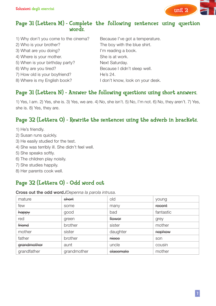

#### Page 31 (Lettera M) - Complete the following sentences using question words.

1) Why don't you come to the cinema? Because I've got a temperature. 2) Who is your brother? The boy with the blue shirt. 3) What are you doing? It is a set of the l'm reading a book. 4) Where is your mother. She is at work. 5) When is your birthday party? Next Saturday. 6) Why are you tired? The state of the Because I didn't sleep well. 7) How old is your boyfriend? He's 24. 8) Where is my English book? I don't know, look on your desk.

### Page 31 (Lettera N) - Answer the following questions using short answers.

1) Yes, I am. 2) Yes, she is. 3) Yes, we are. 4) No, she isn't. 5) No, I'm not. 6) No, they aren't. 7) Yes, she is. 8) Yes, they are.

### Page 32 (Lettera O) - Rewrite the sentences using the adverb in brackets.

- 1) He's friendly.
- 2) Susan runs quickly.
- 3) He easily studied for the test.
- 4) She was terribly ill. She didn't feel well.
- 5) She speaks softly.
- 6) The children play noisily.
- 7) She studies happily.
- 8) Her parents cook well.

### Page 32 (Lettera O) - Odd word out

Cross out the odd word./*Depenna la parola intrusa.*

| mature      | short       | old       | young     |
|-------------|-------------|-----------|-----------|
| few         | some        | many      | recent    |
| happy       | good        | bad       | fantastic |
| red         | green       | flower    | grey      |
| friend      | brother     | sister    | mother    |
| mother      | sister      | daughter  | nephew    |
| father      | brother     | niece     | son       |
| grandmother | aunt        | uncle     | cousin    |
| grandfather | grandmother | elassmate | mother    |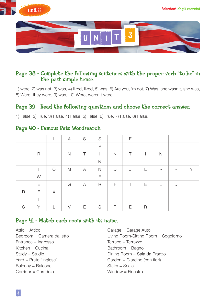



#### Page 38 - Complete the following sentences with the proper verb "to be" in the past simple tense.

1) were, 2) was not, 3) was, 4) liked, liked, 5) was, 6) Are you, 'm not, 7) Was, she wasn't, she was, 8) Were, they were, 9) was, 10) Were, weren't were.

### Page 39 - Read the following questions and choose the correct answer.

1) False, 2) True, 3) False, 4) False, 5) False, 6) True, 7) False, 8) False.

#### Page 40 - Famous Pets Wordsearch

|             |             | L            | A            | S      | S              |              | E      |   |              |              |   |
|-------------|-------------|--------------|--------------|--------|----------------|--------------|--------|---|--------------|--------------|---|
|             |             |              |              |        | $\mathsf{P}$   |              |        |   |              |              |   |
|             | $\mathsf R$ |              | $\mathsf{N}$ | $\top$ | $\overline{1}$ | $\mathsf{N}$ | $\top$ |   | $\mathsf{N}$ |              |   |
|             |             |              |              |        | $\mathsf{N}$   |              |        |   |              |              |   |
|             | T           | $\bigcirc$   | M            | A      | $\mathsf{N}$   | $\mathsf{D}$ | J      | E | $\mathsf R$  | $\mathsf R$  | Y |
|             | W           |              |              |        | E              |              |        |   |              |              |   |
|             | E           |              | G            | A      | $\mathsf{R}$   | F            |        | Ε | L            | $\mathsf{D}$ |   |
| $\mathsf R$ | E           | $\times$     |              |        |                |              |        |   |              |              |   |
|             | $\top$      |              |              |        |                |              |        |   |              |              |   |
| S           | Y           | $\mathbf{L}$ | $\vee$       | Ε      | S              | Τ            | E      | R |              |              |   |

#### Page 41 - Match each room with its name.

Attic = Attico Garage = Garage Auto Entrance = Ingresso Terrace = Terrazzo  $Kitchen = Cucina$  Bathroom = Bagno Yard = Prato "Inglese" entitled to the Garden = Giardino (con fiori)  $Balconv = Balcone$  Stairs = Scale Corridor = Corridoio et al. (2008) Window = Finestra

Bedroom = Camera da letto Living Room/Sitting Room = Soggiorno Study = Studio **Dining Room = Sala da Pranzo**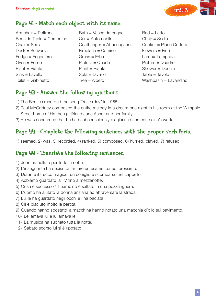

### Page 41 - Match each object with its name.

- Armchair = Poltrona Bath = Vasca da bagno Bed = Letto
- Bedside Table = Comodino Car = Automobile Chair = Sedia Chair = Sedia Coathanger = Attaccapanni Cooker = Piano Cottura Desk = Scrivania Fireplace = Camino Flowers = Fiori Fridge = Frigorifero Grass = Erba Lamp= Lampada Oven = Forno Picture = Quadro Picture = Quadro Plant = Pianta Plant = Pianta Shower = Doccia Sink = Lavello Sofa = Divano Table = Tavolo Toilet = Gabinetto Tree = Albero Washbasin = Lavandino
- 

### Page 42 - Answer the following questions.

- 1) The Beatles recorded the song "Yesterday" in 1965.
- 2) Paul McCartney composed the entire melody in a dream one night in his room at the Wimpole Street home of his then girlfriend Jane Asher and her family.
- 3) He was concerned that he had subconsciously plagiarised someone else's work.

### Page 44 - Complete the following sentences with the proper verb form.

1) seemed. 2) was, 3) recorded, 4) ranked, 5) composed, 6) hurried, played, 7) refused.

#### Page 44 - Translate the following sentences.

- 1) John ha ballato per tutta la notte.
- 2) L'insegnante ha deciso di far fare un esame Lunedì prossimo.
- 3) Durante il trucco magico, un coniglio è scomparso nel cappello.
- 4) Abbiamo guardato la TV fino a mezzanotte.
- 5) Cosa è successo? Il bambino è saltato in una pozzanghera.
- 6) L'uomo ha aiutato la donna anziana ad attraversare la strada.
- 7) Lui le ha guardato negli occhi e l'ha baciata.
- 8) Gli è piaciuto molto la partita.
- 9) Quando hanno spostato la macchina hanno notato una macchia d'olio sul pavimento.
- 10) Lei amava lui e lui amava lei.
- 11) La musica ha suonato tutta la notte.
- 12) Sabato scorso lui si è riposato.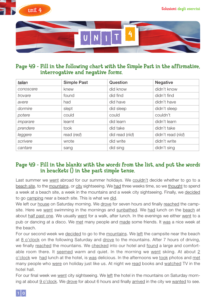



#### Page 49 - Fill in the following chart with the Simple Past in the affirmative, interrogative and negative forms.

| talian    | <b>Simple Past</b> | Question        | <b>Negative</b>    |
|-----------|--------------------|-----------------|--------------------|
| conoscere | knew               | did know        | didn't know        |
| trovare   | found              | did find        | didn't find        |
| avere     | had                | did have        | didn't have        |
| dormire   | slept              | did sleep       | didn't sleep       |
| potere    | could              | could           | couldn't           |
| imparare  | learnt             | did learn       | didn't learn       |
| prendere  | took               | did take        | didn't take        |
| leggere   | read (red)         | did read (riid) | didn't read (riid) |
| scrivere  | wrote              | did write       | didn't write       |
| cantare   | sang               | did sing        | didn't sing        |

### Page 49 - Fill in the blanks with the words from the list, and put the words in brackets () in the past simple tense.

Last summer we went abroad for our summer holidays. We couldn't decide whether to go to a beach site, to the mountains, or city sightseeing. We had three weeks time, so we thought to spend a week at a beach site, a week in the mountains and a week city sightseeing. Finally, we decided to go camping near a beach site. This is what we did.

We left our house on Saturday morning. We drove for seven hours and finally reached the campsite. Here we went swimming in the mornings and sunbathed. We had lunch on the beach at about half past one. We usually went for a walk, after lunch. In the evenings we either went to a pub or dancing at a disco. We met many people and made some friends. It was a nice week at the beach.

For our second week we decided to go to the mountains. We left the campsite near the beach at 8 o'clock on the following Saturday and drove to the mountains. After 7 hours of driving, we finally reached the mountains. We checked into our hotel and found a large and comfortable room there. It seemed warm and quiet. In the morning we went skiing. At about  $2$ o'clock we had lunch at the hotel, is was delicious. In the afternoons we took photos and met many people who were on holiday just like us. At night we read books and watched TV in the hotel hall.

For our final week we went city sightseeing. We left the hotel in the mountains on Saturday morning at about 9 o'clock. We drove for about 6 hours and finally arrived in the city we wanted to see.

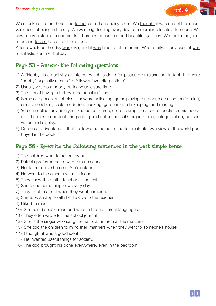

We checked into our hotel and found a small and noisy room. We thought it was one of the inconveniences of being in the city. We went sightseeing every day from mornings to late afternoons. We saw many historical monuments, churches, museums and beautiful gardens. We took many pictures and tasted lots of delicious food.

After a week our holiday was over, and it was time to return home. What a pity. In any case, it was a fantastic summer holiday.

### Page 53 – Answer the following questions.

- 1) A "Hobby" is an activity or interest which is done for pleasure or relaxation. In fact, the word "hobby" originally means "to follow a favourite pastime".
- 2) Usually you do a hobby during your leisure time.
- 3) The aim of having a hobby is personal fulfillment.
- 4) Some categories of hobbies I know are collecting, game playing, outdoor recreation, performing, creative hobbies, scale modelling, cooking, gardening, fish-keeping, and reading.
- 5) You can collect anything you like: football cards, coins, stamps, sea shells, books, comic books et.. The most important things of a good collection is it's organization, categorization, conservation and display.
- 6) One great advantage is that it allows the human mind to create its own view of the world portrayed in the book,

### Page 56 - Re-write the following sentences in the past simple tense.

- 1) The children went to school by bus.
- 2) Patricia preferred pasta with tomato sauce.
- 3) Her father drove home at 5 o'clock pm.
- 4) He went to the cinema with his friends.
- 5) They knew the maths teacher at the test.
- 6) She found something new every day.
- 7) They slept in a tent when they went camping.
- 8) She took an apple with her to give to the teacher.
- 9) I liked to read.
- 10) She could speak, read and write in three different languages.
- 11) They often wrote for the school journal
- 12) She is the singer who sang the national anthem at the matches.
- 13) She told the children to mind their manners when they went to someone's house.
- 14) I thought it was a good idea!
- 15) He invented useful things for society.
- 16) The dog brought his bone everywhere, even in the bedroom!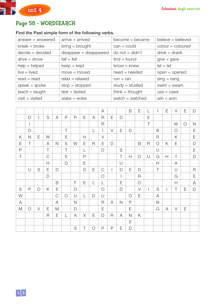## Page 58 - WORDSEARCH

#### Find the Past simple form of the following verbs.

| $answer = answered$ | $arrive = arrived$     | $become = became$ | believe = believed |
|---------------------|------------------------|-------------------|--------------------|
| $break = broke$     | $bring = brought$      | $can = could$     | $color = colour$   |
| $decide = decided$  | $disappear = disapped$ | $do not = didn't$ | $drink = drank$    |
| $drive = drove$     | $fall = fell$          | $find = found$    | $give = gave$      |
| $help = helped$     | $keep = kept$          | $know = knew$     | $let = let$        |
| $live = lived$      | $move = moved$         | $need = needed$   | $open = opened$    |
| $read = read$       | $relax = relaxed$      | $run = ran$       | $sing = sang$      |
| $speak = spoke$     | $stop = stopped$       | $study = studied$ | $swim = swam$      |
| $teach = taught$    | $test = tested$        | think = thought   | $use = used$       |
| $visit = visited$   | wake $=$ woke          | watch = watched   | $win = won$        |

|   |              |              |              |               |              |              |   |              | A             |        |              | B            | Ε           | L |              | Ε | $\vee$     | Ε          | $\mathsf{D}$   |
|---|--------------|--------------|--------------|---------------|--------------|--------------|---|--------------|---------------|--------|--------------|--------------|-------------|---|--------------|---|------------|------------|----------------|
|   | D            | $\mathsf{I}$ | S            | A             | $\mathsf{P}$ | P            | Ε | A            | $\mathsf{R}$  | Ε      | $\mathsf{D}$ |              |             | Ε |              |   |            |            |                |
|   |              |              |              |               |              |              |   |              | $\mathsf{R}$  |        |              |              |             | T |              |   | W          | $\bigcirc$ | $\mathsf{N}$   |
|   | D            |              |              |               | $\top$       |              |   | $\lfloor$    |               | $\vee$ | Ε            | $\mathsf{D}$ |             |   | B            |   | $\bigcirc$ |            | E              |
| K | $\mathsf{N}$ | Ε            | W            |               | Ε            |              | Н |              | $\vee$        |        |              |              |             |   | $\mathsf R$  |   | K          |            | Ε              |
| E | T            |              | A            | $\mathsf{N}$  | S            | W            | Ε | $\mathsf R$  | E             | D      |              |              | B           | R | $\bigcirc$   | Κ | Ε          |            | D              |
| P |              |              | T            |               | $\top$       |              | L |              | $\mathsf{D}$  |        | S            |              |             |   | U            |   |            |            | E              |
| T |              |              | C            |               | E            |              | P |              |               |        | $\top$       | $\mathsf{H}$ | $\bigcirc$  | U | G            | Н | T          |            | $\mathsf{D}$   |
|   |              |              | Н            |               | D            |              | Ε |              |               |        | $\cup$       |              |             |   | Н            |   | A          |            |                |
|   | U            | S            | Ε            | $\mathsf{D}$  |              |              | D | E            | $\mathcal{C}$ |        | D            | E            | D           |   | T            |   | $\cup$     |            | $\overline{R}$ |
|   |              |              | $\mathsf{D}$ |               |              |              |   |              | $\bigcirc$    |        |              |              | $\mathsf R$ |   |              |   | G          |            | E              |
|   |              |              |              | B             |              | F            | Ε | L            | L             |        | Ε            |              | $\bigcirc$  |   |              |   | H          |            | A              |
| S | $\mathsf{P}$ | $\circ$      | K            | E             |              | $\bigcirc$   |   |              | $\bigcirc$    |        | D            |              | $\vee$      |   | S            |   | T          | E          | $\mathsf{D}$   |
| W |              |              |              | $\mathcal{C}$ | $\bigcirc$   | $\cup$       | L | $\mathsf{D}$ | U             |        |              | $\bigcirc$   | E           |   | A            |   |            |            |                |
| A |              |              |              | A             |              | $\mathsf{N}$ |   |              | R             | A      | $\mathsf{N}$ | $\mathsf{P}$ |             |   | $\mathsf{N}$ |   |            |            |                |
| M | $\bigcirc$   | $\vee$       | Ε            | M             |              | D            |   |              | Ε             |        |              | Ε            |             |   | G            | A | $\vee$     | Ε          |                |
|   |              |              | $\mathsf{R}$ | Ε             | L            | A            | X | Ε            | $\mathsf{D}$  | R      | A            | $\mathsf{N}$ | Κ           |   |              |   |            |            |                |
|   |              |              |              |               |              |              |   |              |               |        |              | Ε            |             |   |              |   |            |            |                |
|   |              |              |              |               |              | S            | Τ | $\circ$      | $\mathsf{P}$  | P      | Ε            | $\mathsf{D}$ |             |   |              |   |            |            |                |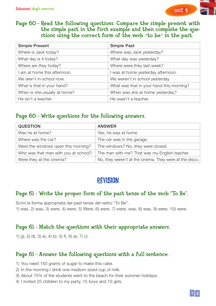

#### Page 60 - Read the following questions. Compare the simple present with the simple past in the first example and then complete the questions using the correct form of the verb  $\circ$  to be $\circ$  in the past.

| <b>Simple Present</b>        | <b>Simple Past</b>                       |
|------------------------------|------------------------------------------|
| Where is Jack today?         | Where was Jack yesterday?                |
| What day is it today?        | What day was yesterday?                  |
| Where are they today?        | Where were they last week?               |
| I am at home this afternoon. | I was at home yesterday afternoon.       |
| We aren't in school now.     | We weren't in school yesterday.          |
| What is that in your hand?   | What was that in your hand this morning? |
| When is she usually at home? | When was she at home yesterday?          |
| He isn't a teacher.          | He wasn't a teacher.                     |

### Page 60 - Write questions for the following answers.

| <b>QUESTION</b>                      | <b>ANSWER</b>                                           |
|--------------------------------------|---------------------------------------------------------|
| Was he at home?                      | Yes, he was at home.                                    |
| Where was the car?                   | The car was in the garage.                              |
| Were the windows open this morning?  | The windows? No, they were closed.                      |
| Who was that man with you at school? | The man with me? That was my English teacher.           |
| Were they at the cinema?             | No, they weren't at the cinema. They were at the disco. |

# revision

### Page 61 - Write the proper form of the past tense of the verb "To Be".

Scrivi la forma appropriata del past tense del verbo "To Be". 1) was, 2) was, 3) were, 4) were, 5) Were, 6) were, 7) were, was, 8) was, 9) were, 10) were.

### Page 61 - Match the questions with their appropriate answers.

1) g), 2) d), 3) e), 4) b), 5) f), 6) a), 7) c).

### Page 61 - Answer the following questions with a full sentence.

- 1) You need 150 grams of sugar to make this cake.
- 2) In the morning I drink one medium sized cup of milk.
- 3) About 75% of the students went to the beach for their summer holidays.
- 4) I invited 25 children to my party, 15 boys and 10 girls.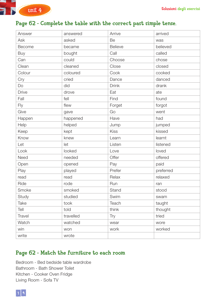

### Page 62 - Complete the table with the correct past simple tense.

| Answer       | answered  | Arrive         | arrived   |
|--------------|-----------|----------------|-----------|
| Ask          | asked     | Be             | was       |
| Become       | became    | <b>Believe</b> | believed  |
| <b>Buy</b>   | bought    | Call           | called    |
| Can          | could     | Choose         | chose     |
| Clean        | cleaned   | Close          | closed    |
| Colour       | coloured  | Cook           | cooked    |
| Cry          | cried     | Dance          | danced    |
| Do           | did       | <b>Drink</b>   | drank     |
| <b>Drive</b> | drove     | Eat            | ate       |
| Fall         | fell      | Find           | found     |
| Fly          | flew      | Forget         | forgot    |
| Give         | gave      | Go             | went      |
| Happen       | happened  | Have           | had       |
| Help         | helped    | Jump           | jumped    |
| Keep         | kept      | Kiss           | kissed    |
| Know         | knew      | Learn          | learnt    |
| Let          | let       | Listen         | listened  |
| Look         | looked    | Love           | loved     |
| Need         | needed    | Offer          | offered   |
| Open         | opened    | Pay            | paid      |
| Play         | played    | Prefer         | preferred |
| read         | read      | Relax          | relaxed   |
| Ride         | rode      | Run            | ran       |
| Smoke        | smoked    | Stand          | stood     |
| Study        | studied   | Swim           | swam      |
| Take         | took      | Teach          | taught    |
| Tell         | told      | think          | thought   |
| Travel       | travelled | Try            | tried     |
| Watch        | watched   | wear           | wore      |
| win          | won       | work           | worked    |
| write        | wrote     |                |           |

### Page 62 - Match the furniture to each room

Bedroom - Bed bedside table wardrobe Bathroom - Bath Shower Toilet Kitchen - Cooker Oven Fridge Living Room - Sofa TV

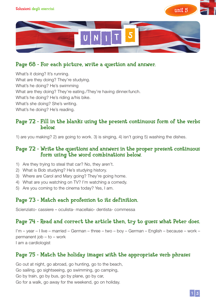



### Page 68 - For each picture, write a question and answer.

What's it doing? It's running. What are they doing? They're studying.

What's he doing? He's swimming

What are they doing? They're eating./They're having dinner/lunch.

What's he doing? He's riding a/his bike.

What's she doing? She's writing.

What's he doing? He's reading.

#### Page 72 - Fill in the blanks using the present continuous form of the verbs below.

1) are you making? 2) are going to work. 3) is singing, 4) isn't going 5) washing the dishes.

#### Page 72 - Write the questions and answers in the proper present continuous form using the word combinations below.

- 1) Are they trying to steal that car? No, they aren't.
- 2) What is Bob studying? He's studying history.
- 3) Where are Carol and Mary going? They're going home.
- 4) What are you watching on TV? I'm watching a comedy.
- 5) Are you coming to the cinema today? Yes, I am.

### Page 73 - Match each profession to its definition.

Scienziato- cassiere – oculista- macellaio- dentista- commessa

### Page 74 - Read and correct the article then, try to guess what Peter does.

I'm – year – I live – married – German – three – two – boy – German – English – because – work – permanent job – to – work I am a cardiologist

### Page 75 - Match the holiday images with the appropriate verb phrases

Go out at night, go abroad, go hunting, go to the beach, Go sailing, go sightseeing, go swimming, go camping, Go by train, go by bus, go by plane, go by car, Go for a walk, go away for the weekend, go on holiday.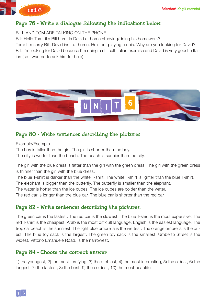

## Page 76 - Write a dialogue following the indications below.

BILL AND TOM ARE TALKING ON THE PHONE

Bill: Hello Tom, it's Bill here. Is David at home studying/doing his homework? Tom: I'm sorry Bill, David isn't at home. He's out playing tennis. Why are you looking for David? Bill: I'm looking for David because I'm doing a difficult Italian exercise and David is very good in Italian (so I wanted to ask him for help).



## Page 80 - Write sentences describing the pictures

Example/Esempio

The boy is taller than the girl. The girl is shorter than the boy.

The city is wetter than the beach. The beach is sunnier than the city.

The girl with the blue dress is fatter than the girl with the green dress. The girl with the green dress is thinner than the girl with the blue dress.

The blue T-shirt is darker than the white T-shirt. The white T-shirt is lighter than the blue T-shirt.

The elephant is bigger than the butterfly. The butterfly is smaller than the elephant.

The water is hotter than the ice cubes. The ice cubes are colder than the water.

The red car is longer than the blue car. The blue car is shorter than the red car.

### Page 82 - Write sentences describing the pictures.

The green car is the fastest. The red car is the slowest. The blue T-shirt is the most expensive. The red T-shirt is the cheapest. Arab is the most difficult language. English is the easiest language. The tropical beach is the sunniest. The light blue ombrella is the wettest. The orange ombrella is the driest. The blue toy sack is the largest. The green toy sack is the smallest. Umberto Street is the widest. Vittorio Emanuele Road. is the narrowest.

### Page 84 - Choose the correct answer.

1) the youngest, 2) the most terrifying, 3) the prettiest, 4) the most interesting, 5) the oldest, 6) the longest, 7) the fastest, 8) the best, 9) the coldest, 10) the most beautiful.

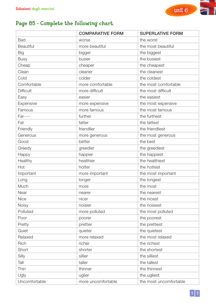

## Page 85 - Complete the following chart.

|                  | <b>COMPARATIVE FORM</b> | <b>SUPERLATIVE FORM</b> |
|------------------|-------------------------|-------------------------|
| <b>Bad</b>       | worse                   | the worst               |
| <b>Beautiful</b> | more beautiful          | the most beautiful      |
| <b>Big</b>       | bigger                  | the biggest             |
| <b>Busy</b>      | busier                  | the busiest             |
| Cheap            | cheaper                 | the cheapest            |
| Clean            | cleaner                 | the cleanest            |
| Cold             | colder                  | the coldest             |
| Comfortable      | more comfortable        | the most comfortable    |
| <b>Difficult</b> | more difficult          | the most difficult      |
| Easy             | easier                  | the easiest             |
| Expensive        | more expensive          | the most expensive      |
| Famous           | more famous             | the most famous         |
| <b>Far----</b>   | further                 | the furthest            |
| Fat              | fatter                  | the fattest             |
| Friendly         | friendlier              | the friendliest         |
| Generous         | more generous           | the most generous       |
| Good             | better                  | the best                |
| Greedy           | greedier                | the greediest           |
| Happy            | happier                 | the happiest            |
| Healthy          | healthier               | the healthiest          |
| Hot              | hotter                  | the hottest             |
| Important        | more important          | the most important      |
| Long             | longer                  | the longest             |
| Much             | more                    | the most                |
| Near             | nearer                  | the nearest             |
| <b>Nice</b>      | nicer                   | the nicest              |
| <b>Noisy</b>     | noisier                 | the noisiest            |
| Polluted         | more polluted           | the most polluted       |
| Poor             | poorer                  | the poorest             |
| Pretty           | prettier                | the prettiest           |
| Quiet            | quieter                 | the quietest            |
| Relaxed          | more relaxed            | the most relaxed        |
| Rich             | richer                  | the richest             |
| Short            | shorter                 | the shortest            |
| Silly            | sillier                 | the silliest            |
| Tall             | taller                  | the tallest             |
| Thin             | thinner                 | the thinnest            |
| Ugly             | uglier                  | the ugliest             |
| Uncomfortable    | more uncomfortable      | the most uncomfortable  |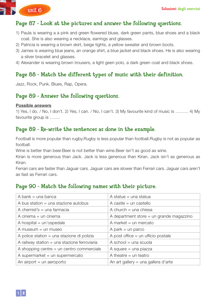Soluzioni degli esercizi



### Page 87 - Look at the pictures and answer the following questions.

- 1) Paula is wearing a a pink and green flowered bluse, dark green pants, blue shoes and a black coat. She is also wearing a necklace, earrings and glasses.
- 2) Patricia is wearing a brown skirt, beige tights, a yellow sweater and brown boots.
- 3) James is wearing blue jeans, an orange shirt, a blue jacket and black shoes. He is also wearing a silver bracelet and glasses.
- 4) Alexander is wearing brown trousers, a light geen polo, a dark green coat and black shoes.

## Page 88 - Match the different types of music with their definition.

Jazz, Rock, Punk, Blues, Rap, Opera.

### Page 89 - Answer the following questions.

#### Possible answers

1) Yes, I do. / No, I don't. 2) Yes, I can. / No, I can't. 3) My favourite kind of music is ……… 4) My favourite group is …….

### Page 89 - Re-write the sentences as done in the example.

Football is more popular than rugby.Rugby is less popular than football.Rugby is not as popular as football.

Wine is better than beer.Beer is not better than wine.Beer isn't as good as wine.

Kiran is more generous than Jack. Jack is less generous than Kiran. Jack isn't as generous as Kiran.

Ferrari cars are faster than Jaguar cars. Jaguar cars are slower than Ferrari cars. Jaguar cars aren't as fast as Ferrari cars.

## Page 90 - Match the following names with their picture.

| A bank $=$ una banca                         | A statue $=$ una statua                    |
|----------------------------------------------|--------------------------------------------|
| A bus station $=$ una stazione autobus       | A castle $=$ un castello                   |
| A chemist's $=$ una farmacia                 | A church $=$ una chiesa                    |
| A cinema $=$ un cinema                       | A department store $=$ un grande magazzino |
| A hospital $=$ un'ospedale                   | A market $=$ un mercato                    |
| A museum $=$ un museo                        | A park $=$ un parco                        |
| A police station = una stazione di polizia   | A post office $=$ un ufficio postale       |
| A railway station = una stazione ferroviaria | A school $=$ una scuola                    |
| A shopping centre $=$ un centro commerciale  | A square $=$ una piazza                    |
| A supermarket $=$ un supermercato            | A theatre $=$ un teatro                    |
| An airport $=$ un aeroporto                  | An art gallery = una gallera d'arte        |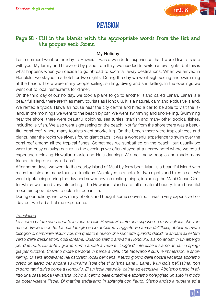

# revision

#### Page 91 - Fill in the blanks with the appropriate words from the list and the proper verb forms.

#### My Holiday

Last summer I went on holiday to Hawaii. It was a wonderful experience that I would like to share with you. My family and I travelled by plane from Italy, we needed to switch a few flights, but this is what happens when you decide to go abroad to such far away destinations. When we arrived in Honolulu, we stayed in a hotel for two nights. During the day we went sightseeing and swimming at the beach. There were many people sailing, surfing, diving and snorkelling. In the evenings we went out to local restaurants for dinner.

On the third day of our holiday, we took a plane to go to another island called Lana'ì. Lana'ì is a beautiful island, there aren't as many tourists as Honolulu. It is a natural, calm and exclusive island. We rented a typical Hawaiian house near the city centre and hired a car to be able to visit the island. In the mornings we went to the beach by car. We went swimming and snorkelling. Swimming near the shore, there were beautiful dolphins, sea turtles, starfish and many other tropical fishes, including jellyfish. We also went sightseeing on the beach! Not far from the shore there was a beautiful coral reef, where many tourists went snorkelling. On the beach there were tropical trees and plants, near the rocks we always found giant crabs. It was a wonderful experience to swim over the coral reef among all the tropical fishes. Sometimes we sunbathed on the beach, but usually we were too busy enjoying nature. In the evenings we often stayed at a nearby hotel where we could experience relaxing Hawaiian music and Hula dancing. We met many people and made many friends during our stay in Lana'ì.

After some days, we went to the nearby island of Maui by ferry boat. Maui is a beautiful island with many tourists and many tourist attractions. We stayed in a hotel for two nights and hired a car. We went sightseeing during the day and saw many interesting things, including the Maui Ocean Center which we found very interesting. The Hawaiian Islands are full of natural beauty, from beautiful mountaintop rainbows to colourful ocean life.

During our holiday, we took many photos and bought some souvenirs. It was a very expensive holiday but we had a lifetime experience.

#### *Translation*

*La scorsa estate sono andato in vacanza alle Hawaii. E' stato una esperienza meravigliosa che vorrei condividere con te. La mia famiglia ed io abbiamo viaggiato via aerea dall'Italia, abbiamo avuto bisogno di cambiare alcuni voli, ma questo è quello che succede quando decidi di andare all'estero verso delle destinazioni così lontane. Quando siamo arrivati a Honolulu, siamo andati in un albergo per due notti. Durante il giorno siamo andati a vedere i luoghi di interesse e siamo andati in spiaggia per nuotare. C'erano molte persone in barca a vela, che facevano il surf, le immersioni e snorkelling. Di sera andavamo nei ristoranti locali per cena. Il terzo giorno della nostra vacanza abbiamo preso un aereo per andare su un'altra isola che si chiama Lana'ì. Lana'ì è un isola bellissima, non ci sono tanti turisti come a Honolulu. E' un isola naturale, calma ed esclusiva. Abbiamo preso in affitto una casa tipica Hawaiana vicino al centro della cittadina e abbiamo noleggiato un auto in modo da poter visitare l'isola. Di mattina andavamo in spiaggia con l'auto. Siamo andati a nuotare ed a*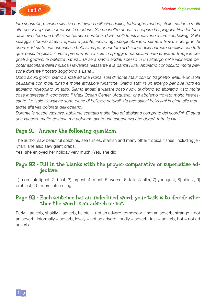

*fare snorkelling. Vicino alla riva nuotavano bellissimi delfini, tartarughe marine, stelle marine e molti altri pesci tropicali, comprese le meduse. Siamo inoltre andati a scoprire la spiaggia! Non lontano dalla riva c'era una bellissima barriera corallina, dove molti turisti andavano a fare snorkelling. Sulla spiaggia c'erano alberi tropicali e piante, vicino agli scogli abbiamo sempre trovato dei granchi enormi. E' stato una esperienza bellissima poter nuotare al di sopra della barriera corallina con tutti quei pesci tropicali. A volte prendevamo il sole in spiaggia, ma solitamente eravamo troppi impegnati a goderci le bellezze naturali. Di sera siamo andati spesso in un albergo nelle vicinanze per poter ascoltare della musica Hawaiana rilassante e la danza Hula. Abbiamo conosciuto molte persone durante il nostro soggiorno a Lana'ì.*

*Dopo alcuni giorni, siamo andati ad una vicina isola di nome Maui con un traghetto. Maui è un isola bellissima con molti turisti e molte attrazioni turistiche. Siamo stati in un albergo per due notti ed abbiamo noleggiato un auto. Siamo andati a visitare posti nuovi di giorno ed abbiamo visto molte cose interessanti, compreso il Maui Ocean Center (Acquario) che abbiamo trovato molto interessante. Le Isole Hawaiane sono piene di bellezze naturali, da arcobaleni bellissimi in cima alle montagne alla vita colorata dell'oceano.*

*Durante le nostre vacanze, abbiamo scattato molte foto ed abbiamo comprato dei ricordini. E' stata una vacanza molto costosa ma abbiamo avuto una esperienza che durerà tutta la vita.*

#### Page 91 - Answer the following questions.

The author saw beautiful dolphins, sea turtles, starfish and many other tropical fishes, including jellyfish, she also saw giant crabs.

Yes, she enjoyed her holiday very much./Yes, she did.

#### Page 92 - Fill in the blanks with the proper comparative or superlative adjective.

1) more intelligent, 2) best, 3) largest, 4) most, 5) worse, 6) tallest/taller, 7) youngest, 8) oldest, 9) prettiest, 10) more interesting.

#### Page 92 - Each sentence has an underlined word; your task is to decide whether the word is an adverb or not.

Early = adverb, shakily = adverb, helpful = not an adverb, tomorrow = not an adverb, strange = not an adverb, informally = adverb, lovely = not an adverb, loudly = adverb, fast = adverb, hot = not ad adverb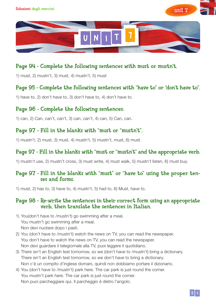



### Page 94 - Complete the following sentences with must or mustn't.

1) must, 2) mustn't, 3) must, 4) mustn't, 5) must

#### Page 95 - Complete the following sentences with "have to" or "don't have to".

1) have to, 2) don't have to, 3) don't have to, 4) don't have to.

#### Page 96 - Complete the following sentences:

1) can, 2) Can, can't, can't, 3) can, can't, 4) can, 5) Can, can.

#### Page 97 - Fill in the blanks with "must or "mustn't".

1) mustn't, 2) must, 3) must, 4) mustn't, 5) mustn't, must, 6) must.

#### Page 97 - Fill in the blanks with "must or "mustn't" and the appropriate verb.

1) mustn't use, 2) mustn't cross, 3) must write, 4) must walk, 5) mustn't listen, 6) must buy.

#### Page 97 - Fill in the blanks with "must" or "have to" using the proper tenses and forms.

1) must, 2) has to, 3) have to, 4) mustn't, 5) had to, 6) Must, have to.

#### Page 98 - Re-write the sentences in their correct form using an appropriate verb, then translate the sentences in Italian.

- 1) You(don't have to /mustn't) go swimming after a meal. You mustn't go swimming after a meal. Non devi nuotare dopo i pasti.
- 2) You (don't have to /mustn't) watch the news on TV, you can read the newspaper. You don't have to watch the news on TV, you can read the newspaper. Non devi guardare il telegiornale alla TV, puoi leggere il quotidiano.
- 3) There isn't an English test tomorrow, so we (don't have to /mustn't) bring a dictionary. There isn't an English test tomorrow, so we don't have to bring a dictionary. Non c'è un compito d'inglese domani, quindi non dobbiamo portare il dizionario.
- 4) You (don't have to /mustn't) park here. The car park is just round the corner. You mustn't park here. The car park is just round the corner. Non puoi parcheggiare qui. Il parcheggio è dietro l'angolo.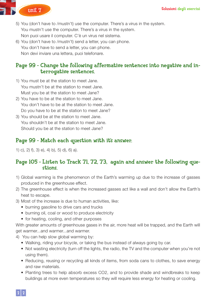

- 5) You (don't have to /mustn't) use the computer. There's a virus in the system. You mustn't use the computer. There's a virus in the system. Non puoi usare il computer. C'è un virus nel sistema.
- 6) You (don't have to /mustn't) send a letter, you can phone. You don't have to send a letter, you can phone. Non devi inviare una lettera, puoi telefonare.

#### Page 99 - Change the following affermative sentences into negative and interrogative sentences.

- 1) You must be at the station to meet Jane. You mustn't be at the station to meet Jane. Must you be at the station to meet Jane?
- 2) You have to be at the station to meet Jane. You don't have to be at the station to meet Jane. Do you have to be at the station to meet Jane?
- 3) You should be at the station to meet Jane. You shouldn't be at the station to meet Jane. Should you be at the station to meet Jane?

### Page 99 - Match each question with it's answer.

1) c), 2) f), 3) e), 4) b), 5) d), 6) a).

#### Page 105 - Listen to Track 71, 72, 73, again and answer the following questions.

- 1) Global warming is the phenomenon of the Earth's warming up due to the increase of gasses produced in the greenhouse effect.
- 2) The greenhouse effect is when the increased gasses act like a wall and don't allow the Earth's heat to escape.
- 3) Most of the increase is due to human activities, like:
	- burning gasoline to drive cars and trucks
	- burning oil, coal or wood to produce electricity
	- for heating, cooling, and other purposes

With greater amounts of greenhouse gases in the air, more heat will be trapped, and the Earth will get warmer...and warmer...and warmer.

- 4) You can help slow global warming by:
	- Walking, riding your bicycle, or taking the bus instead of always going by car.
	- Not wasting electricity (turn off the lights, the radio, the TV and the computer when you're not using them).
	- Reducing, reusing or recycling all kinds of items, from soda cans to clothes, to save energy and raw materials.
	- Planting trees to help absorb excess CO2, and to provide shade and windbreaks to keep buildings at more even temperatures so they will require less energy for heating or cooling.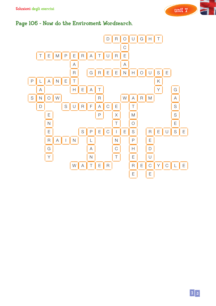

## Page 106 - Now do the Enviroment Wordsearch.



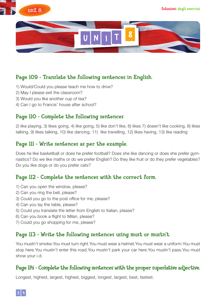



### Page 109 - Translate the following sentences in English.

- 1) Would/Could you please teach me how to drive?
- 2) May I please exit the classroom?
- 3) Would you like another cup of tea?
- 4) Can I go to Francis' house after school?

### Page 110 - Complete the following sentences

2) like playing, 3) likes going, 4) like going, 5) like don't like, 6) likes 7) doesn't like cooking, 8) likes talking, 9) likes talking, 10) like dancing, 11) like travelling, 12) likes having, 13) like reading

#### Page 111 - Write sentences as per the example.

Does he like basketball or does he prefer football? Does she like dancing or does she prefer gymnastics? Do we like maths or do we prefer English? Do they like fruit or do they prefer vegetables? Do you like dogs or do you prefer cats?

### Page 112 - Complete the sentences with the correct form.

- 1) Can you open the window, please?
- 2) Can you ring the bell, please?
- 3) Could you go to the post office for me, please?
- 4) Can you lay the table, please?
- 5) Could you translate the letter from English to Italian, please?
- 6) Can you book a flight to Milan, please?
- 7) Could you go shopping for me, please?

#### Page 113 - Write the following sentences using must or mustn't.

You mustn't smoke.You must turn right.You must wear a helmet.You must wear a uniform.You must stop here.You mustn't enter this road.You mustn't park your car here.You mustn't pass.You must show your i.d.

#### Page 114 - Complete the following sentences with the proper superlative adjective.

Longest, highest, largest, highest, biggest, longest, largest, best, fastest.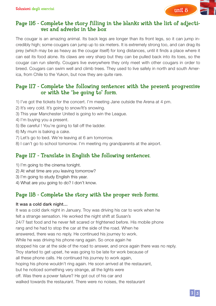

### Page 116 - Complete the story filling in the blanks with the list of adjectives and adverbs in the box

The cougar is an amazing animal. Its back legs are longer than its front legs, so it can jump incredibly high; some cougars can jump up to six meters. It is extremely strong too, and can drag its prey (which may be as heavy as the cougar itself) for long distances, until it finds a place where it can eat its food alone. Its claws are very sharp but they can be pulled back into its toes, so the cougar can run silently. Cougars live everywhere they only meet with other cougars in order to breed. Cougars can swim well and climb trees. They used to live safely in north and south America, from Chile to the Yukon, but now they are quite rare.

#### Page 117 - Complete the following sentences with the present progressive or with the "be going to" form.

- 1) I've got the tickets for the concert. I'm meeting Jane outside the Arena at 4 pm.
- 2) It's very cold. It's going to snow/It's snowing.
- 3) This year Manchester United is going to win the League.
- 4) I'm buying you a present.
- 5) Be careful ! You're going to fall off the ladder.
- 6) My mum is baking a cake.
- 7) Let's go to bed. We're leaving at 6 am tomorrow.
- 8) I can't go to school tomorrow. I'm meeting my grandparents at the airport.

### Page 117 - Translate in English the following sentences.

- 1) I'm going to the cinema tonight.
- 2) At what time are you leaving tomorrow?
- 3) I'm going to study English this year.
- 4) What are you going to do? I don't know.

## Page 118 - Complete the story with the proper verb forms.

#### It was a cold dark night…

It was a cold dark night in January. Troy was driving his car to work when he felt a strange sensation. He worked the night shift at Susan's 24/7 fast food and he never felt scared or frightened before. His mobile phone rang and he had to stop the car at the side of the road. When he answered, there was no reply. He continued his journey to work. While he was driving his phone rang again. So once again he stopped his car at the side of the road to answer, and once again there was no reply. Troy started to get upset, he was going to be late for work because of all these phone calls. He continued his journey to work again, hoping his phone wouldn't ring again. He soon arrived at the restaurant, but he noticed something very strange, all the lights were off. Was there a power failure? He got out of his car and walked towards the restaurant. There were no noises, the restaurant